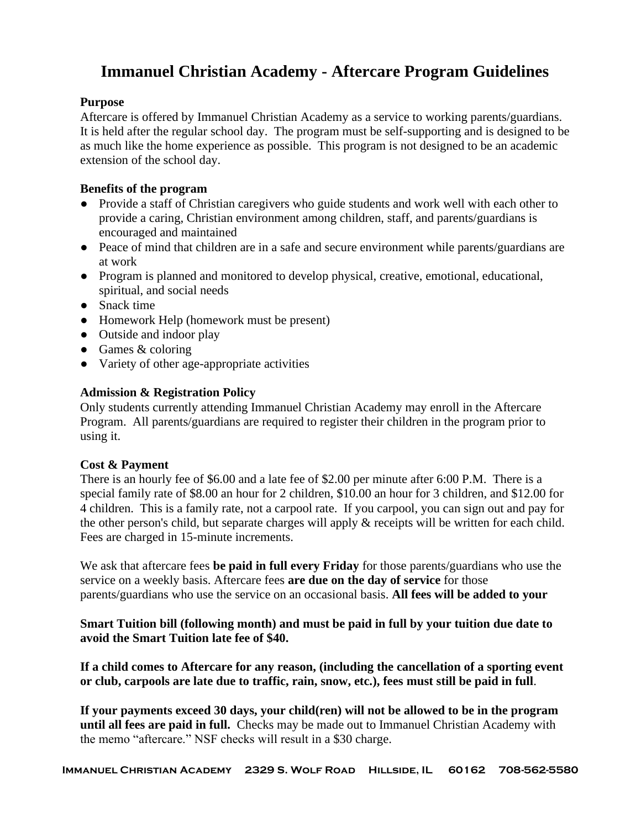# **Immanuel Christian Academy - Aftercare Program Guidelines**

# **Purpose**

Aftercare is offered by Immanuel Christian Academy as a service to working parents/guardians. It is held after the regular school day. The program must be self-supporting and is designed to be as much like the home experience as possible. This program is not designed to be an academic extension of the school day.

# **Benefits of the program**

- Provide a staff of Christian caregivers who guide students and work well with each other to provide a caring, Christian environment among children, staff, and parents/guardians is encouraged and maintained
- Peace of mind that children are in a safe and secure environment while parents/guardians are at work
- Program is planned and monitored to develop physical, creative, emotional, educational, spiritual, and social needs
- Snack time
- Homework Help (homework must be present)
- Outside and indoor play
- $\bullet$  Games & coloring
- Variety of other age-appropriate activities

# **Admission & Registration Policy**

Only students currently attending Immanuel Christian Academy may enroll in the Aftercare Program. All parents/guardians are required to register their children in the program prior to using it.

# **Cost & Payment**

There is an hourly fee of \$6.00 and a late fee of \$2.00 per minute after 6:00 P.M. There is a special family rate of \$8.00 an hour for 2 children, \$10.00 an hour for 3 children, and \$12.00 for 4 children. This is a family rate, not a carpool rate. If you carpool, you can sign out and pay for the other person's child, but separate charges will apply & receipts will be written for each child. Fees are charged in 15-minute increments.

We ask that aftercare fees **be paid in full every Friday** for those parents/guardians who use the service on a weekly basis. Aftercare fees **are due on the day of service** for those parents/guardians who use the service on an occasional basis. **All fees will be added to your** 

**Smart Tuition bill (following month) and must be paid in full by your tuition due date to avoid the Smart Tuition late fee of \$40.** 

**If a child comes to Aftercare for any reason, (including the cancellation of a sporting event or club, carpools are late due to traffic, rain, snow, etc.), fees must still be paid in full**.

**If your payments exceed 30 days, your child(ren) will not be allowed to be in the program until all fees are paid in full.** Checks may be made out to Immanuel Christian Academy with the memo "aftercare." NSF checks will result in a \$30 charge.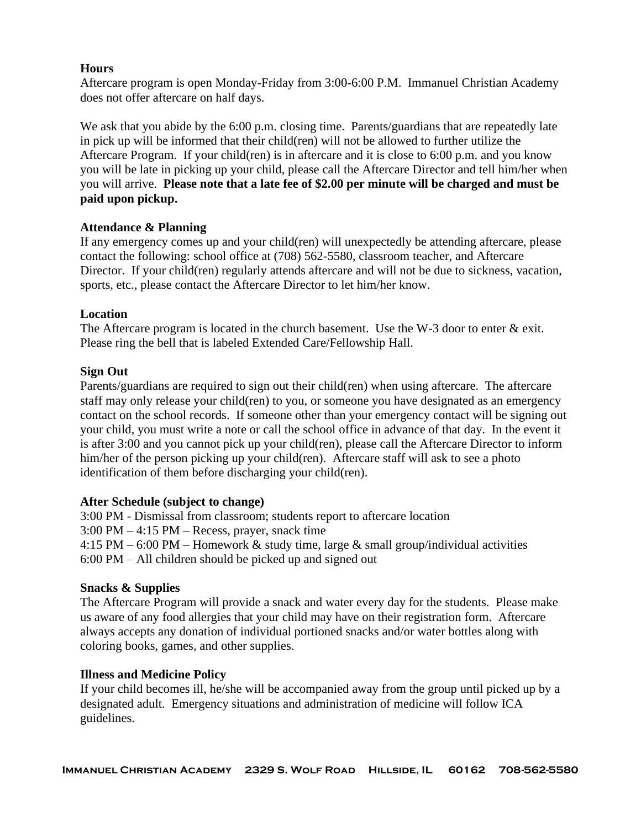## **Hours**

Aftercare program is open Monday-Friday from 3:00-6:00 P.M. Immanuel Christian Academy does not offer aftercare on half days.

We ask that you abide by the 6:00 p.m. closing time. Parents/guardians that are repeatedly late in pick up will be informed that their child(ren) will not be allowed to further utilize the Aftercare Program. If your child(ren) is in aftercare and it is close to 6:00 p.m. and you know you will be late in picking up your child, please call the Aftercare Director and tell him/her when you will arrive. **Please note that a late fee of \$2.00 per minute will be charged and must be paid upon pickup.**

## **Attendance & Planning**

If any emergency comes up and your child(ren) will unexpectedly be attending aftercare, please contact the following: school office at (708) 562-5580, classroom teacher, and Aftercare Director. If your child(ren) regularly attends aftercare and will not be due to sickness, vacation, sports, etc., please contact the Aftercare Director to let him/her know.

## **Location**

The Aftercare program is located in the church basement. Use the W-3 door to enter & exit. Please ring the bell that is labeled Extended Care/Fellowship Hall.

## **Sign Out**

Parents/guardians are required to sign out their child(ren) when using aftercare. The aftercare staff may only release your child(ren) to you, or someone you have designated as an emergency contact on the school records. If someone other than your emergency contact will be signing out your child, you must write a note or call the school office in advance of that day. In the event it is after 3:00 and you cannot pick up your child(ren), please call the Aftercare Director to inform him/her of the person picking up your child(ren). Aftercare staff will ask to see a photo identification of them before discharging your child(ren).

## **After Schedule (subject to change)**

3:00 PM - Dismissal from classroom; students report to aftercare location

3:00 PM – 4:15 PM – Recess, prayer, snack time

4:15 PM – 6:00 PM – Homework & study time, large & small group/individual activities 6:00 PM – All children should be picked up and signed out

# **Snacks & Supplies**

The Aftercare Program will provide a snack and water every day for the students. Please make us aware of any food allergies that your child may have on their registration form. Aftercare always accepts any donation of individual portioned snacks and/or water bottles along with coloring books, games, and other supplies.

## **Illness and Medicine Policy**

If your child becomes ill, he/she will be accompanied away from the group until picked up by a designated adult. Emergency situations and administration of medicine will follow ICA guidelines.